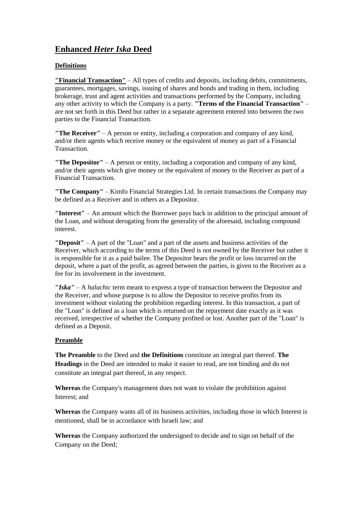# **Enhanced** *Heter Iska* **Deed**

## **Definitions**

**"Financial Transaction"** – All types of credits and deposits, including debits, commitments, guarantees, mortgages, savings, issuing of shares and bonds and trading in them, including brokerage, trust and agent activities and transactions performed by the Company, including any other activity to which the Company is a party. **"Terms of the Financial Transaction"** – are not set forth in this Deed but rather in a separate agreement entered into between the two parties to the Financial Transaction.

**"The Receiver"** – A person or entity, including a corporation and company of any kind, and/or their agents which receive money or the equivalent of money as part of a Financial Transaction.

**"The Depositor"** – A person or entity, including a corporation and company of any kind, and/or their agents which give money or the equivalent of money to the Receiver as part of a Financial Transaction.

**"The Company"** – Kimfo Financial Strategies Ltd. In certain transactions the Company may be defined as a Receiver and in others as a Depositor.

**"Interest"** – An amount which the Borrower pays back in addition to the principal amount of the Loan, and without derogating from the generality of the aforesaid, including compound interest.

**"Deposit"** – A part of the "Loan" and a part of the assets and business activities of the Receiver, which according to the terms of this Deed is not owned by the Receiver but rather it is responsible for it as a paid bailee. The Depositor bears the profit or loss incurred on the deposit, where a part of the profit, as agreed between the parties, is given to the Receiver as a fee for its involvement in the investment.

**"***Iska"* – A *halachic* term meant to express a type of transaction between the Depositor and the Receiver, and whose purpose is to allow the Depositor to receive profits from its investment without violating the prohibition regarding interest. In this transaction, a part of the "Loan" is defined as a loan which is returned on the repayment date exactly as it was received, irrespective of whether the Company profited or lost. Another part of the "Loan" is defined as a Deposit.

#### **Preamble**

**The Preamble** to the Deed and **the Definitions** constitute an integral part thereof. **The Headings** in the Deed are intended to make it easier to read, are not binding and do not constitute an integral part thereof, in any respect.

**Whereas** the Company's management does not want to violate the prohibition against Interest; and

**Whereas** the Company wants all of its business activities, including those in which Interest is mentioned, shall be in accordance with Israeli law; and

**Whereas** the Company authorized the undersigned to decide and to sign on behalf of the Company on the Deed;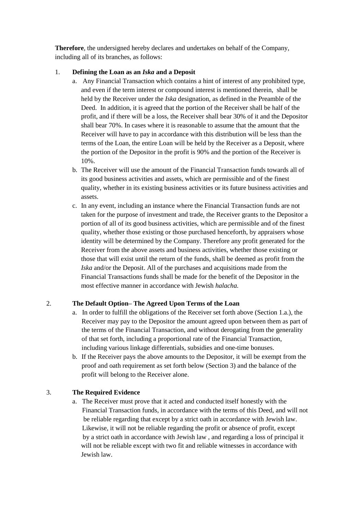**Therefore**, the undersigned hereby declares and undertakes on behalf of the Company, including all of its branches, as follows:

### 1. **Defining the Loan as an** *Iska* **and a Deposit**

- a. Any Financial Transaction which contains a hint of interest of any prohibited type, and even if the term interest or compound interest is mentioned therein, shall be held by the Receiver under the *Iska* designation, as defined in the Preamble of the Deed. In addition, it is agreed that the portion of the Receiver shall be half of the profit, and if there will be a loss, the Receiver shall bear 30% of it and the Depositor shall bear 70%. In cases where it is reasonable to assume that the amount that the Receiver will have to pay in accordance with this distribution will be less than the terms of the Loan, the entire Loan will be held by the Receiver as a Deposit, where the portion of the Depositor in the profit is 90% and the portion of the Receiver is 10%.
- b. The Receiver will use the amount of the Financial Transaction funds towards all of its good business activities and assets, which are permissible and of the finest quality, whether in its existing business activities or its future business activities and assets.
- c. In any event, including an instance where the Financial Transaction funds are not taken for the purpose of investment and trade, the Receiver grants to the Depositor a portion of all of its good business activities, which are permissible and of the finest quality, whether those existing or those purchased henceforth, by appraisers whose identity will be determined by the Company. Therefore any profit generated for the Receiver from the above assets and business activities, whether those existing or those that will exist until the return of the funds, shall be deemed as profit from the *Iska* and/or the Deposit. All of the purchases and acquisitions made from the Financial Transactions funds shall be made for the benefit of the Depositor in the most effective manner in accordance with Jewish *halacha.*

## 2. **The Default Option– The Agreed Upon Terms of the Loan**

- a. In order to fulfill the obligations of the Receiver set forth above (Section 1.a.), the Receiver may pay to the Depositor the amount agreed upon between them as part of the terms of the Financial Transaction, and without derogating from the generality of that set forth, including a proportional rate of the Financial Transaction, including various linkage differentials, subsidies and one-time bonuses.
- b. If the Receiver pays the above amounts to the Depositor, it will be exempt from the proof and oath requirement as set forth below (Section 3) and the balance of the profit will belong to the Receiver alone.

## 3. **The Required Evidence**

a. The Receiver must prove that it acted and conducted itself honestly with the Financial Transaction funds, in accordance with the terms of this Deed, and will not be reliable regarding that except by a strict oath in accordance with Jewish law. Likewise, it will not be reliable regarding the profit or absence of profit, except by a strict oath in accordance with Jewish law , and regarding a loss of principal it will not be reliable except with two fit and reliable witnesses in accordance with Jewish law.